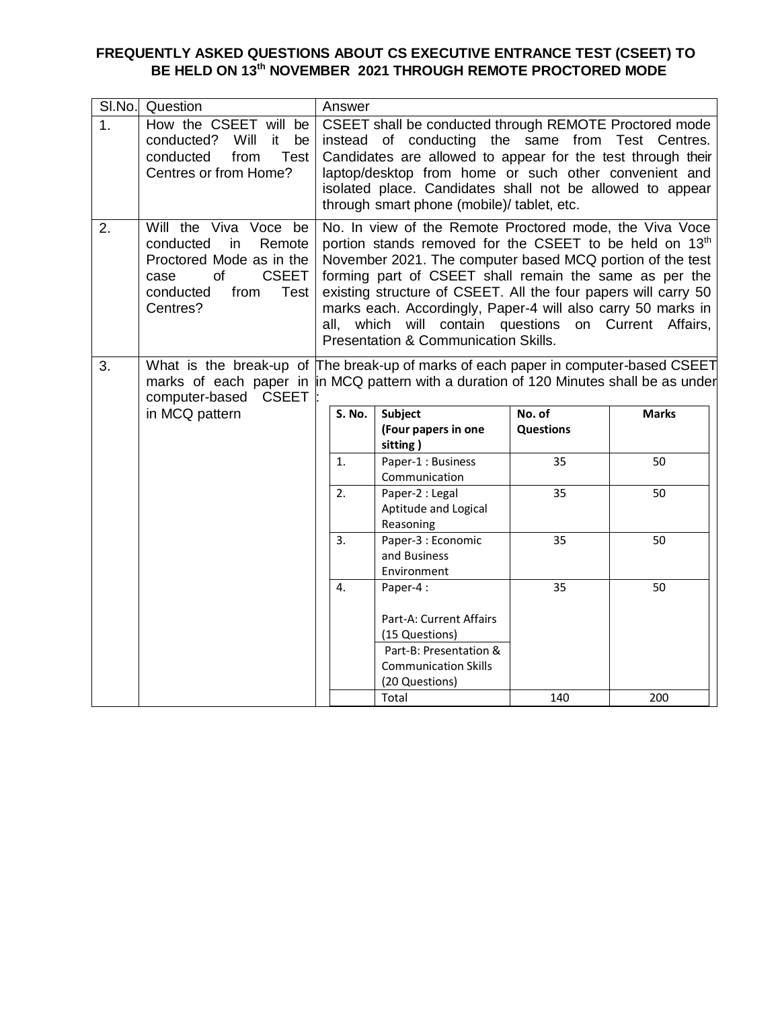## **FREQUENTLY ASKED QUESTIONS ABOUT CS EXECUTIVE ENTRANCE TEST (CSEET) TO BE HELD ON 13th NOVEMBER 2021 THROUGH REMOTE PROCTORED MODE**

| SI.No. | Question                                                                                                                                                                                              |      | Answer |                                                                                                                                                                                                                                                                                                                                                                                                                                                     |                      |                     |
|--------|-------------------------------------------------------------------------------------------------------------------------------------------------------------------------------------------------------|------|--------|-----------------------------------------------------------------------------------------------------------------------------------------------------------------------------------------------------------------------------------------------------------------------------------------------------------------------------------------------------------------------------------------------------------------------------------------------------|----------------------|---------------------|
| 1.     | How the CSEET will be<br>conducted? Will<br>it -<br>be<br>conducted<br>from<br>Test<br>Centres or from Home?                                                                                          |      |        | CSEET shall be conducted through REMOTE Proctored mode<br>instead of conducting the same from Test Centres.<br>Candidates are allowed to appear for the test through their<br>laptop/desktop from home or such other convenient and<br>isolated place. Candidates shall not be allowed to appear<br>through smart phone (mobile)/ tablet, etc.                                                                                                      |                      |                     |
| 2.     | Will the Viva Voce be<br>conducted<br>Remote<br>in<br>Proctored Mode as in the<br><b>CSEET</b><br>of<br>case<br>conducted<br>from<br>Test<br>Centres?                                                 | all, |        | No. In view of the Remote Proctored mode, the Viva Voce<br>portion stands removed for the CSEET to be held on 13th<br>November 2021. The computer based MCQ portion of the test<br>forming part of CSEET shall remain the same as per the<br>existing structure of CSEET. All the four papers will carry 50<br>marks each. Accordingly, Paper-4 will also carry 50 marks in<br>which will contain questions<br>Presentation & Communication Skills. |                      | on Current Affairs, |
| 3.     | What is the break-up of The break-up of marks of each paper in computer-based CSEET<br>marks of each paper in in MCQ pattern with a duration of 120 Minutes shall be as under<br>computer-based CSEET |      |        |                                                                                                                                                                                                                                                                                                                                                                                                                                                     |                      |                     |
|        | in MCQ pattern                                                                                                                                                                                        |      | S. No. | Subject                                                                                                                                                                                                                                                                                                                                                                                                                                             | $\overline{N}$ o. of | <b>Marks</b>        |
|        |                                                                                                                                                                                                       |      |        | (Four papers in one<br>sitting)                                                                                                                                                                                                                                                                                                                                                                                                                     | <b>Questions</b>     |                     |
|        |                                                                                                                                                                                                       |      | 1.     | Paper-1: Business<br>Communication                                                                                                                                                                                                                                                                                                                                                                                                                  | 35                   | 50                  |
|        |                                                                                                                                                                                                       |      | 2.     | Paper-2 : Legal<br>Aptitude and Logical<br>Reasoning                                                                                                                                                                                                                                                                                                                                                                                                | 35                   | 50                  |
|        |                                                                                                                                                                                                       |      | 3.     | Paper-3 : Economic<br>and Business<br>Environment                                                                                                                                                                                                                                                                                                                                                                                                   | 35                   | 50                  |
|        |                                                                                                                                                                                                       |      | 4.     | Paper-4:                                                                                                                                                                                                                                                                                                                                                                                                                                            | 35                   | 50                  |
|        |                                                                                                                                                                                                       |      |        | Part-A: Current Affairs<br>(15 Questions)<br>Part-B: Presentation &<br><b>Communication Skills</b>                                                                                                                                                                                                                                                                                                                                                  |                      |                     |
|        |                                                                                                                                                                                                       |      |        | (20 Questions)<br>Total                                                                                                                                                                                                                                                                                                                                                                                                                             | 140                  | 200                 |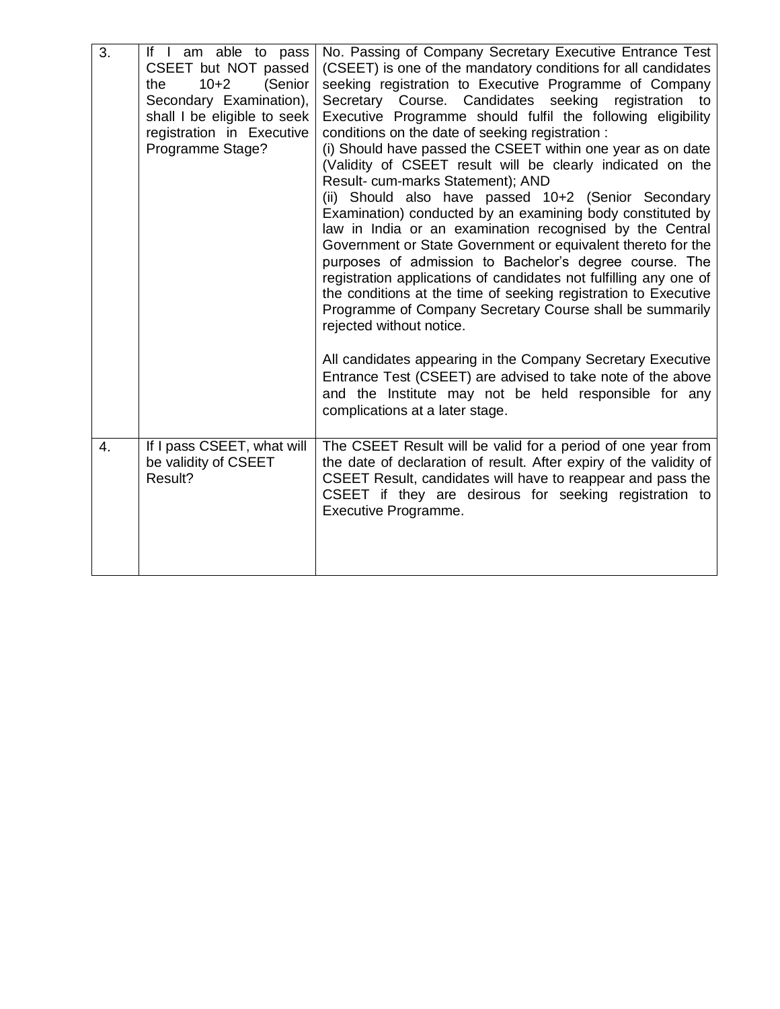| 3.               | If I am able to pass<br>CSEET but NOT passed<br>$10 + 2$<br>the<br>(Senior<br>Secondary Examination),<br>shall I be eligible to seek<br>registration in Executive<br>Programme Stage? | No. Passing of Company Secretary Executive Entrance Test<br>(CSEET) is one of the mandatory conditions for all candidates<br>seeking registration to Executive Programme of Company<br>Secretary Course. Candidates seeking registration to<br>Executive Programme should fulfil the following eligibility<br>conditions on the date of seeking registration :<br>(i) Should have passed the CSEET within one year as on date<br>(Validity of CSEET result will be clearly indicated on the<br>Result- cum-marks Statement); AND<br>(ii) Should also have passed 10+2 (Senior Secondary<br>Examination) conducted by an examining body constituted by<br>law in India or an examination recognised by the Central<br>Government or State Government or equivalent thereto for the<br>purposes of admission to Bachelor's degree course. The<br>registration applications of candidates not fulfilling any one of<br>the conditions at the time of seeking registration to Executive<br>Programme of Company Secretary Course shall be summarily<br>rejected without notice. |
|------------------|---------------------------------------------------------------------------------------------------------------------------------------------------------------------------------------|-----------------------------------------------------------------------------------------------------------------------------------------------------------------------------------------------------------------------------------------------------------------------------------------------------------------------------------------------------------------------------------------------------------------------------------------------------------------------------------------------------------------------------------------------------------------------------------------------------------------------------------------------------------------------------------------------------------------------------------------------------------------------------------------------------------------------------------------------------------------------------------------------------------------------------------------------------------------------------------------------------------------------------------------------------------------------------|
|                  |                                                                                                                                                                                       | All candidates appearing in the Company Secretary Executive<br>Entrance Test (CSEET) are advised to take note of the above<br>and the Institute may not be held responsible for any<br>complications at a later stage.                                                                                                                                                                                                                                                                                                                                                                                                                                                                                                                                                                                                                                                                                                                                                                                                                                                      |
| $\overline{4}$ . | If I pass CSEET, what will<br>be validity of CSEET<br>Result?                                                                                                                         | The CSEET Result will be valid for a period of one year from<br>the date of declaration of result. After expiry of the validity of<br>CSEET Result, candidates will have to reappear and pass the<br>CSEET if they are desirous for seeking registration to<br>Executive Programme.                                                                                                                                                                                                                                                                                                                                                                                                                                                                                                                                                                                                                                                                                                                                                                                         |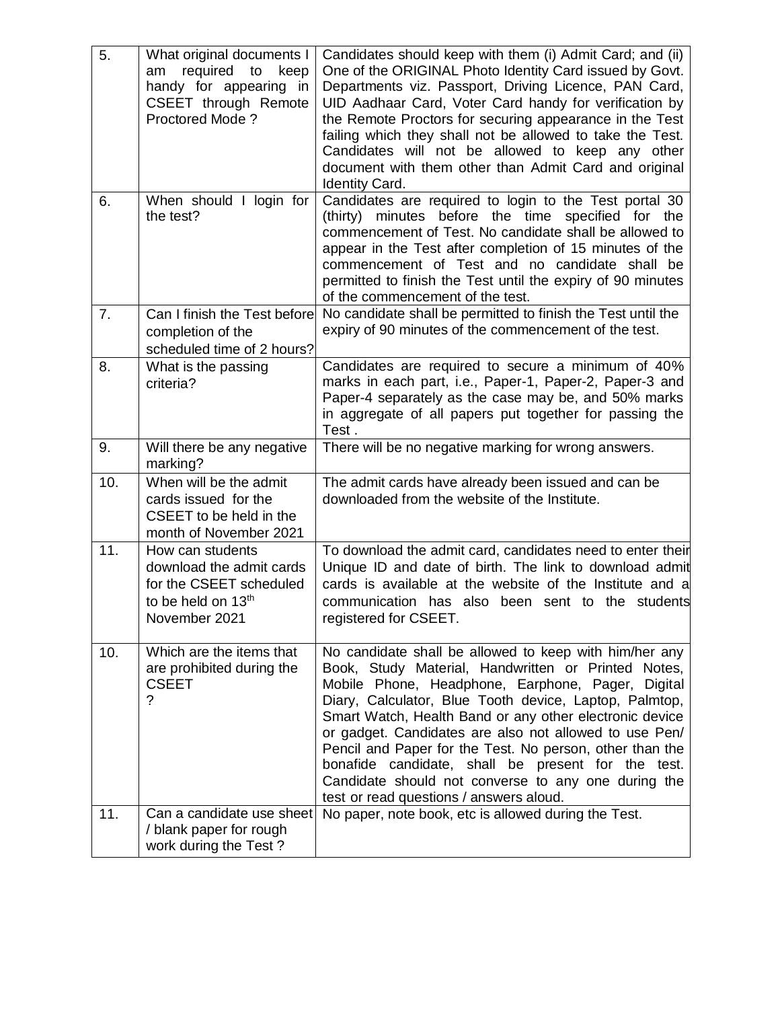| 5.  | What original documents I<br>required<br>to<br>keep<br>am<br>handy for appearing in<br>CSEET through Remote<br>Proctored Mode? | Candidates should keep with them (i) Admit Card; and (ii)<br>One of the ORIGINAL Photo Identity Card issued by Govt.<br>Departments viz. Passport, Driving Licence, PAN Card,<br>UID Aadhaar Card, Voter Card handy for verification by<br>the Remote Proctors for securing appearance in the Test<br>failing which they shall not be allowed to take the Test.<br>Candidates will not be allowed to keep any other<br>document with them other than Admit Card and original<br><b>Identity Card.</b>                                                                 |
|-----|--------------------------------------------------------------------------------------------------------------------------------|-----------------------------------------------------------------------------------------------------------------------------------------------------------------------------------------------------------------------------------------------------------------------------------------------------------------------------------------------------------------------------------------------------------------------------------------------------------------------------------------------------------------------------------------------------------------------|
| 6.  | When should I login for<br>the test?                                                                                           | Candidates are required to login to the Test portal 30<br>(thirty) minutes before the time specified for the<br>commencement of Test. No candidate shall be allowed to<br>appear in the Test after completion of 15 minutes of the<br>commencement of Test and no candidate shall be<br>permitted to finish the Test until the expiry of 90 minutes<br>of the commencement of the test.                                                                                                                                                                               |
| 7.  | Can I finish the Test before<br>completion of the<br>scheduled time of 2 hours?                                                | No candidate shall be permitted to finish the Test until the<br>expiry of 90 minutes of the commencement of the test.                                                                                                                                                                                                                                                                                                                                                                                                                                                 |
| 8.  | What is the passing<br>criteria?                                                                                               | Candidates are required to secure a minimum of 40%<br>marks in each part, i.e., Paper-1, Paper-2, Paper-3 and<br>Paper-4 separately as the case may be, and 50% marks<br>in aggregate of all papers put together for passing the<br>Test.                                                                                                                                                                                                                                                                                                                             |
| 9.  | Will there be any negative<br>marking?                                                                                         | There will be no negative marking for wrong answers.                                                                                                                                                                                                                                                                                                                                                                                                                                                                                                                  |
| 10. | When will be the admit<br>cards issued for the<br>CSEET to be held in the<br>month of November 2021                            | The admit cards have already been issued and can be<br>downloaded from the website of the Institute.                                                                                                                                                                                                                                                                                                                                                                                                                                                                  |
| 11. | How can students<br>download the admit cards<br>for the CSEET scheduled<br>to be held on 13 <sup>th</sup><br>November 2021     | To download the admit card, candidates need to enter their<br>Unique ID and date of birth. The link to download admit<br>cards is available at the website of the Institute and a<br>communication has also been sent to the students<br>registered for CSEET.                                                                                                                                                                                                                                                                                                        |
| 10. | Which are the items that<br>are prohibited during the<br><b>CSEET</b><br>?                                                     | No candidate shall be allowed to keep with him/her any<br>Book, Study Material, Handwritten or Printed Notes,<br>Mobile Phone, Headphone, Earphone, Pager, Digital<br>Diary, Calculator, Blue Tooth device, Laptop, Palmtop,<br>Smart Watch, Health Band or any other electronic device<br>or gadget. Candidates are also not allowed to use Pen/<br>Pencil and Paper for the Test. No person, other than the<br>bonafide candidate, shall be present for the test.<br>Candidate should not converse to any one during the<br>test or read questions / answers aloud. |
| 11. | Can a candidate use sheet<br>/ blank paper for rough<br>work during the Test?                                                  | No paper, note book, etc is allowed during the Test.                                                                                                                                                                                                                                                                                                                                                                                                                                                                                                                  |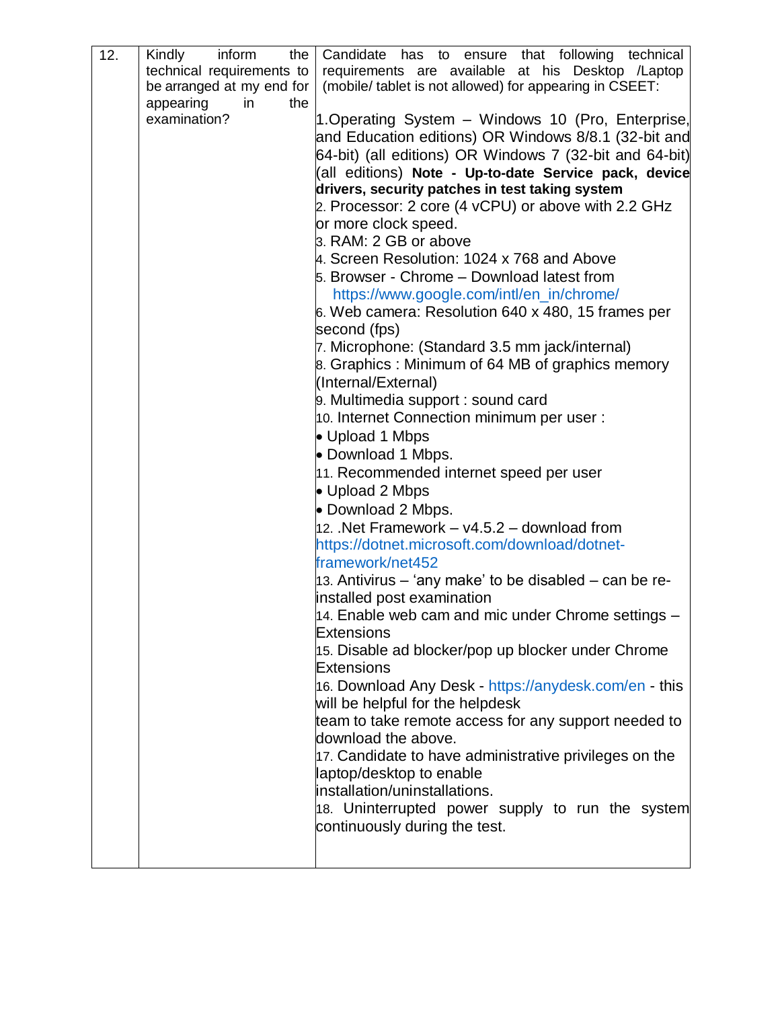| 12. | Kindly<br>inform<br>the $\vert$ | Candidate has to ensure that following technical                            |
|-----|---------------------------------|-----------------------------------------------------------------------------|
|     | technical requirements to       | requirements are available at his Desktop /Laptop                           |
|     | be arranged at my end for       | (mobile/ tablet is not allowed) for appearing in CSEET:                     |
|     | appearing<br>in<br>the          |                                                                             |
|     | examination?                    | 1. Operating System - Windows 10 (Pro, Enterprise,                          |
|     |                                 | and Education editions) OR Windows 8/8.1 (32-bit and                        |
|     |                                 | 64-bit) (all editions) OR Windows 7 (32-bit and 64-bit)                     |
|     |                                 | (all editions) Note - Up-to-date Service pack, device                       |
|     |                                 | drivers, security patches in test taking system                             |
|     |                                 | 2. Processor: 2 core (4 vCPU) or above with 2.2 GHz                         |
|     |                                 | or more clock speed.                                                        |
|     |                                 | 3. RAM: 2 GB or above                                                       |
|     |                                 | 4. Screen Resolution: 1024 x 768 and Above                                  |
|     |                                 | 5. Browser - Chrome - Download latest from                                  |
|     |                                 | https://www.google.com/intl/en_in/chrome/                                   |
|     |                                 | 6. Web camera: Resolution 640 x 480, 15 frames per                          |
|     |                                 | second (fps)                                                                |
|     |                                 | 7. Microphone: (Standard 3.5 mm jack/internal)                              |
|     |                                 | 8. Graphics: Minimum of 64 MB of graphics memory                            |
|     |                                 | (Internal/External)                                                         |
|     |                                 | 9. Multimedia support : sound card                                          |
|     |                                 | 10. Internet Connection minimum per user :                                  |
|     |                                 | • Upload 1 Mbps                                                             |
|     |                                 | • Download 1 Mbps.                                                          |
|     |                                 | 11. Recommended internet speed per user                                     |
|     |                                 | • Upload 2 Mbps                                                             |
|     |                                 | • Download 2 Mbps.                                                          |
|     |                                 | 12. Net Framework $- v4.5.2 -$ download from                                |
|     |                                 | https://dotnet.microsoft.com/download/dotnet-                               |
|     |                                 | framework/net452                                                            |
|     |                                 | 13. Antivirus – 'any make' to be disabled – can be re-                      |
|     |                                 | installed post examination                                                  |
|     |                                 | 14. Enable web cam and mic under Chrome settings                            |
|     |                                 | <b>Extensions</b>                                                           |
|     |                                 | 15. Disable ad blocker/pop up blocker under Chrome                          |
|     |                                 | <b>Extensions</b>                                                           |
|     |                                 | 16. Download Any Desk - https://anydesk.com/en - this                       |
|     |                                 | will be helpful for the helpdesk                                            |
|     |                                 | team to take remote access for any support needed to<br>download the above. |
|     |                                 | 17. Candidate to have administrative privileges on the                      |
|     |                                 | laptop/desktop to enable                                                    |
|     |                                 | installation/uninstallations.                                               |
|     |                                 | 18. Uninterrupted power supply to run the system                            |
|     |                                 | continuously during the test.                                               |
|     |                                 |                                                                             |
|     |                                 |                                                                             |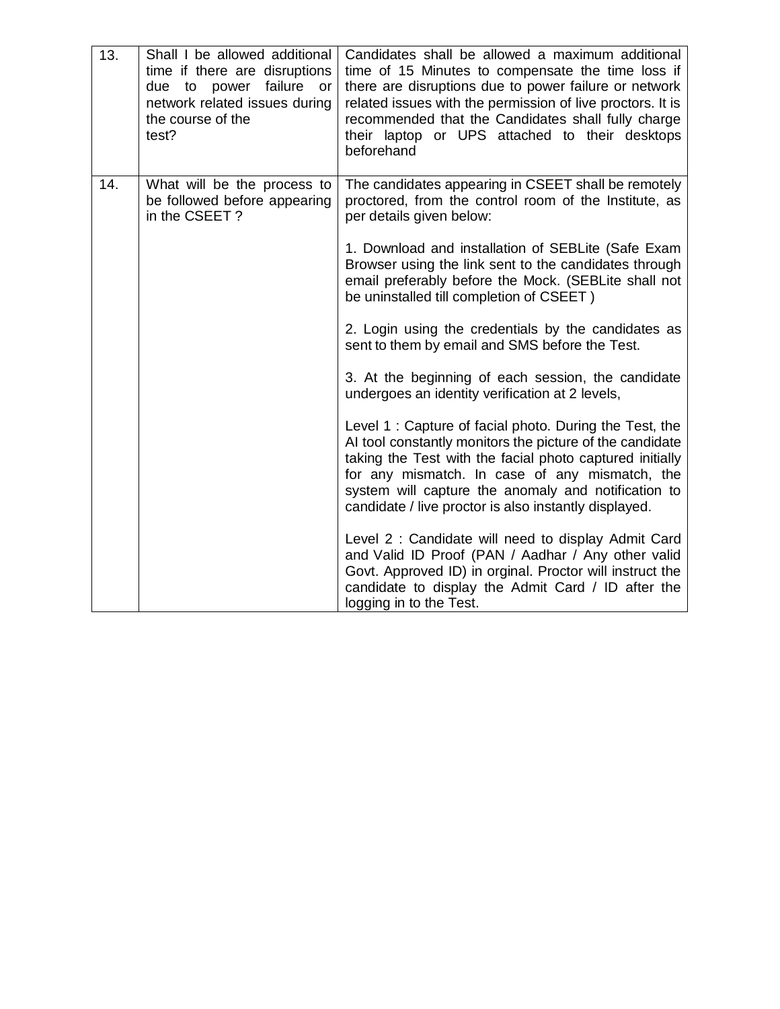| 13. | Shall I be allowed additional<br>time if there are disruptions<br>due to power failure or<br>network related issues during<br>the course of the<br>test? | Candidates shall be allowed a maximum additional<br>time of 15 Minutes to compensate the time loss if<br>there are disruptions due to power failure or network<br>related issues with the permission of live proctors. It is<br>recommended that the Candidates shall fully charge<br>their laptop or UPS attached to their desktops<br>beforehand |
|-----|----------------------------------------------------------------------------------------------------------------------------------------------------------|----------------------------------------------------------------------------------------------------------------------------------------------------------------------------------------------------------------------------------------------------------------------------------------------------------------------------------------------------|
| 14. | What will be the process to<br>be followed before appearing<br>in the CSEET?                                                                             | The candidates appearing in CSEET shall be remotely<br>proctored, from the control room of the Institute, as<br>per details given below:                                                                                                                                                                                                           |
|     |                                                                                                                                                          | 1. Download and installation of SEBLite (Safe Exam<br>Browser using the link sent to the candidates through<br>email preferably before the Mock. (SEBLite shall not<br>be uninstalled till completion of CSEET)                                                                                                                                    |
|     |                                                                                                                                                          | 2. Login using the credentials by the candidates as<br>sent to them by email and SMS before the Test.                                                                                                                                                                                                                                              |
|     |                                                                                                                                                          | 3. At the beginning of each session, the candidate<br>undergoes an identity verification at 2 levels,                                                                                                                                                                                                                                              |
|     |                                                                                                                                                          | Level 1: Capture of facial photo. During the Test, the<br>AI tool constantly monitors the picture of the candidate<br>taking the Test with the facial photo captured initially<br>for any mismatch. In case of any mismatch, the<br>system will capture the anomaly and notification to<br>candidate / live proctor is also instantly displayed.   |
|     |                                                                                                                                                          | Level 2: Candidate will need to display Admit Card<br>and Valid ID Proof (PAN / Aadhar / Any other valid<br>Govt. Approved ID) in orginal. Proctor will instruct the<br>candidate to display the Admit Card / ID after the<br>logging in to the Test.                                                                                              |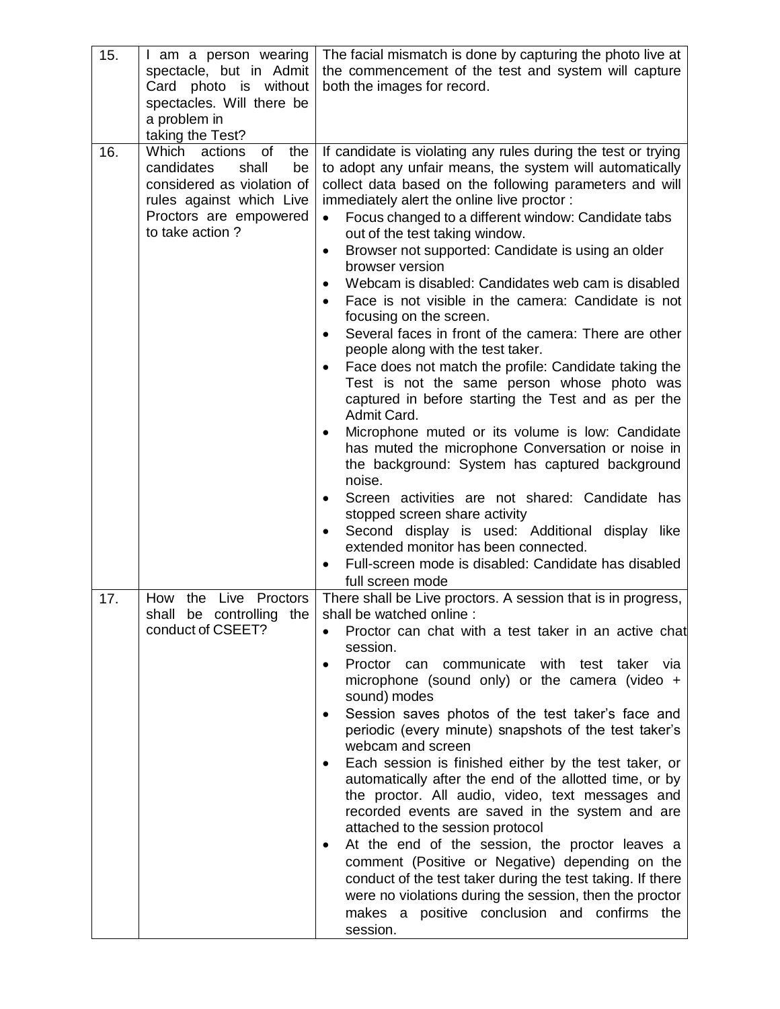| 15. | I am a person wearing<br>spectacle, but in Admit<br>Card photo is without<br>spectacles. Will there be<br>a problem in<br>taking the Test?                     | The facial mismatch is done by capturing the photo live at<br>the commencement of the test and system will capture<br>both the images for record.                                                                                                                                                                                                                                                                                                                                                                                                                                                                                                                                                                                                                                                                                                                                                                                                                                                                                                                                                                                                                                                                                                                                                              |
|-----|----------------------------------------------------------------------------------------------------------------------------------------------------------------|----------------------------------------------------------------------------------------------------------------------------------------------------------------------------------------------------------------------------------------------------------------------------------------------------------------------------------------------------------------------------------------------------------------------------------------------------------------------------------------------------------------------------------------------------------------------------------------------------------------------------------------------------------------------------------------------------------------------------------------------------------------------------------------------------------------------------------------------------------------------------------------------------------------------------------------------------------------------------------------------------------------------------------------------------------------------------------------------------------------------------------------------------------------------------------------------------------------------------------------------------------------------------------------------------------------|
| 16. | Which actions<br>of<br>the<br>candidates<br>shall<br>be<br>considered as violation of<br>rules against which Live<br>Proctors are empowered<br>to take action? | If candidate is violating any rules during the test or trying<br>to adopt any unfair means, the system will automatically<br>collect data based on the following parameters and will<br>immediately alert the online live proctor:<br>Focus changed to a different window: Candidate tabs<br>$\bullet$<br>out of the test taking window.<br>Browser not supported: Candidate is using an older<br>browser version<br>Webcam is disabled: Candidates web cam is disabled<br>$\bullet$<br>Face is not visible in the camera: Candidate is not<br>$\bullet$<br>focusing on the screen.<br>Several faces in front of the camera: There are other<br>people along with the test taker.<br>Face does not match the profile: Candidate taking the<br>٠<br>Test is not the same person whose photo was<br>captured in before starting the Test and as per the<br>Admit Card.<br>Microphone muted or its volume is low: Candidate<br>has muted the microphone Conversation or noise in<br>the background: System has captured background<br>noise.<br>Screen activities are not shared: Candidate has<br>٠<br>stopped screen share activity<br>Second display is used: Additional display like<br>٠<br>extended monitor has been connected.<br>Full-screen mode is disabled: Candidate has disabled<br>full screen mode |
| 17. | the Live Proctors<br>How<br>shall be controlling the<br>conduct of CSEET?                                                                                      | There shall be Live proctors. A session that is in progress,<br>shall be watched online :<br>Proctor can chat with a test taker in an active chat<br>$\bullet$<br>session.<br>Proctor can communicate with test taker via<br>$\bullet$<br>microphone (sound only) or the camera (video $+$<br>sound) modes<br>Session saves photos of the test taker's face and<br>$\bullet$<br>periodic (every minute) snapshots of the test taker's<br>webcam and screen<br>Each session is finished either by the test taker, or<br>automatically after the end of the allotted time, or by<br>the proctor. All audio, video, text messages and<br>recorded events are saved in the system and are<br>attached to the session protocol<br>At the end of the session, the proctor leaves a<br>$\bullet$<br>comment (Positive or Negative) depending on the<br>conduct of the test taker during the test taking. If there<br>were no violations during the session, then the proctor<br>makes a positive conclusion and confirms the<br>session.                                                                                                                                                                                                                                                                              |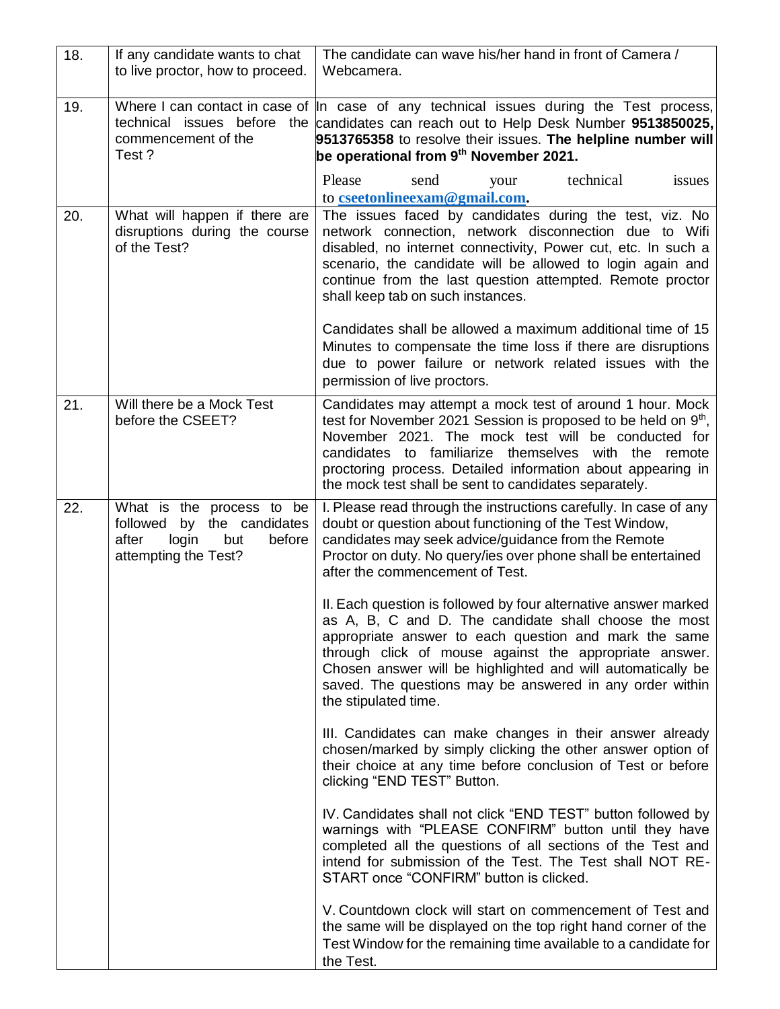| 18. | If any candidate wants to chat<br>to live proctor, how to proceed.                                                    | The candidate can wave his/her hand in front of Camera /<br>Webcamera.                                                                                                                                                                                                                                                                                                                         |
|-----|-----------------------------------------------------------------------------------------------------------------------|------------------------------------------------------------------------------------------------------------------------------------------------------------------------------------------------------------------------------------------------------------------------------------------------------------------------------------------------------------------------------------------------|
| 19. | technical issues before<br>commencement of the<br>Test?                                                               | Where I can contact in case of  In case of any technical issues during the Test process,<br>the candidates can reach out to Help Desk Number 9513850025,<br>9513765358 to resolve their issues. The helpline number will<br>be operational from 9 <sup>th</sup> November 2021.                                                                                                                 |
|     |                                                                                                                       | Please<br>technical<br>send<br>issues<br>your<br>to cseetonlineexam@gmail.com.                                                                                                                                                                                                                                                                                                                 |
| 20. | What will happen if there are<br>disruptions during the course<br>of the Test?                                        | The issues faced by candidates during the test, viz. No<br>network connection, network disconnection due to Wifi<br>disabled, no internet connectivity, Power cut, etc. In such a<br>scenario, the candidate will be allowed to login again and<br>continue from the last question attempted. Remote proctor<br>shall keep tab on such instances.                                              |
|     |                                                                                                                       | Candidates shall be allowed a maximum additional time of 15<br>Minutes to compensate the time loss if there are disruptions<br>due to power failure or network related issues with the<br>permission of live proctors.                                                                                                                                                                         |
| 21. | Will there be a Mock Test<br>before the CSEET?                                                                        | Candidates may attempt a mock test of around 1 hour. Mock<br>test for November 2021 Session is proposed to be held on 9 <sup>th</sup> ,<br>November 2021. The mock test will be conducted for<br>candidates to familiarize themselves with the remote<br>proctoring process. Detailed information about appearing in<br>the mock test shall be sent to candidates separately.                  |
| 22. | What is the process to be<br>followed<br>by the candidates<br>after<br>login<br>before<br>but<br>attempting the Test? | I. Please read through the instructions carefully. In case of any<br>doubt or question about functioning of the Test Window,<br>candidates may seek advice/guidance from the Remote<br>Proctor on duty. No query/ies over phone shall be entertained<br>after the commencement of Test.                                                                                                        |
|     |                                                                                                                       | II. Each question is followed by four alternative answer marked<br>as A, B, C and D. The candidate shall choose the most<br>appropriate answer to each question and mark the same<br>through click of mouse against the appropriate answer.<br>Chosen answer will be highlighted and will automatically be<br>saved. The questions may be answered in any order within<br>the stipulated time. |
|     |                                                                                                                       | III. Candidates can make changes in their answer already<br>chosen/marked by simply clicking the other answer option of<br>their choice at any time before conclusion of Test or before<br>clicking "END TEST" Button.                                                                                                                                                                         |
|     |                                                                                                                       | IV. Candidates shall not click "END TEST" button followed by<br>warnings with "PLEASE CONFIRM" button until they have<br>completed all the questions of all sections of the Test and<br>intend for submission of the Test. The Test shall NOT RE-<br>START once "CONFIRM" button is clicked.                                                                                                   |
|     |                                                                                                                       | V. Countdown clock will start on commencement of Test and<br>the same will be displayed on the top right hand corner of the<br>Test Window for the remaining time available to a candidate for<br>the Test.                                                                                                                                                                                    |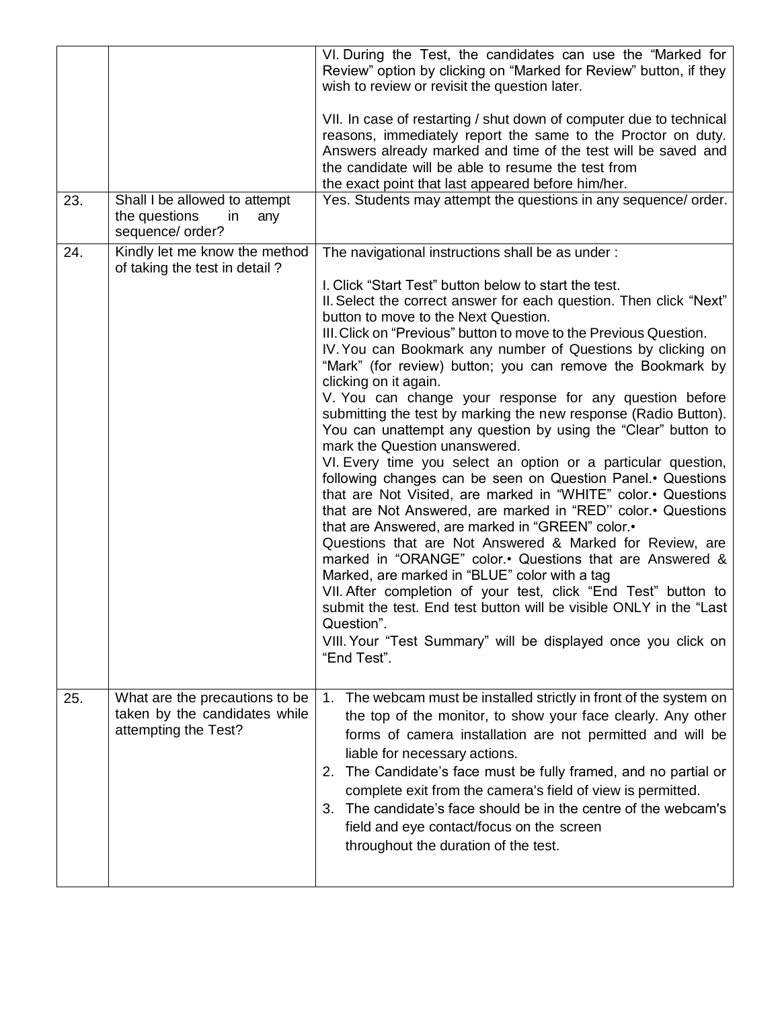|     |                                                                                         | VI. During the Test, the candidates can use the "Marked for<br>Review" option by clicking on "Marked for Review" button, if they<br>wish to review or revisit the question later.                                                                                                                                                                                                                                                                                                                                                                                                                                                                                                                                                                                                                                                                                                                                                                                                                                                                                                                                                                                                                                                                                                                                                                                                                    |
|-----|-----------------------------------------------------------------------------------------|------------------------------------------------------------------------------------------------------------------------------------------------------------------------------------------------------------------------------------------------------------------------------------------------------------------------------------------------------------------------------------------------------------------------------------------------------------------------------------------------------------------------------------------------------------------------------------------------------------------------------------------------------------------------------------------------------------------------------------------------------------------------------------------------------------------------------------------------------------------------------------------------------------------------------------------------------------------------------------------------------------------------------------------------------------------------------------------------------------------------------------------------------------------------------------------------------------------------------------------------------------------------------------------------------------------------------------------------------------------------------------------------------|
|     |                                                                                         | VII. In case of restarting / shut down of computer due to technical<br>reasons, immediately report the same to the Proctor on duty.<br>Answers already marked and time of the test will be saved and<br>the candidate will be able to resume the test from<br>the exact point that last appeared before him/her.                                                                                                                                                                                                                                                                                                                                                                                                                                                                                                                                                                                                                                                                                                                                                                                                                                                                                                                                                                                                                                                                                     |
| 23. | Shall I be allowed to attempt<br>the questions<br>in<br>any<br>sequence/ order?         | Yes. Students may attempt the questions in any sequence/ order.                                                                                                                                                                                                                                                                                                                                                                                                                                                                                                                                                                                                                                                                                                                                                                                                                                                                                                                                                                                                                                                                                                                                                                                                                                                                                                                                      |
| 24. | Kindly let me know the method<br>of taking the test in detail?                          | The navigational instructions shall be as under:<br>I. Click "Start Test" button below to start the test.<br>II. Select the correct answer for each question. Then click "Next"<br>button to move to the Next Question.<br>III. Click on "Previous" button to move to the Previous Question.<br>IV. You can Bookmark any number of Questions by clicking on<br>"Mark" (for review) button; you can remove the Bookmark by<br>clicking on it again.<br>V. You can change your response for any question before<br>submitting the test by marking the new response (Radio Button).<br>You can unattempt any question by using the "Clear" button to<br>mark the Question unanswered.<br>VI. Every time you select an option or a particular question,<br>following changes can be seen on Question Panel. Questions<br>that are Not Visited, are marked in "WHITE" color. Questions<br>that are Not Answered, are marked in "RED" color. • Questions<br>that are Answered, are marked in "GREEN" color.<br>Questions that are Not Answered & Marked for Review, are<br>marked in "ORANGE" color. Questions that are Answered &<br>Marked, are marked in "BLUE" color with a tag<br>VII. After completion of your test, click "End Test" button to<br>submit the test. End test button will be visible ONLY in the "Last<br>Question".<br>VIII. Your "Test Summary" will be displayed once you click on |
| 25. | What are the precautions to be<br>taken by the candidates while<br>attempting the Test? | "End Test".<br>The webcam must be installed strictly in front of the system on<br>1.<br>the top of the monitor, to show your face clearly. Any other<br>forms of camera installation are not permitted and will be<br>liable for necessary actions.<br>The Candidate's face must be fully framed, and no partial or<br>2.<br>complete exit from the camera's field of view is permitted.<br>3. The candidate's face should be in the centre of the webcam's<br>field and eye contact/focus on the screen<br>throughout the duration of the test.                                                                                                                                                                                                                                                                                                                                                                                                                                                                                                                                                                                                                                                                                                                                                                                                                                                     |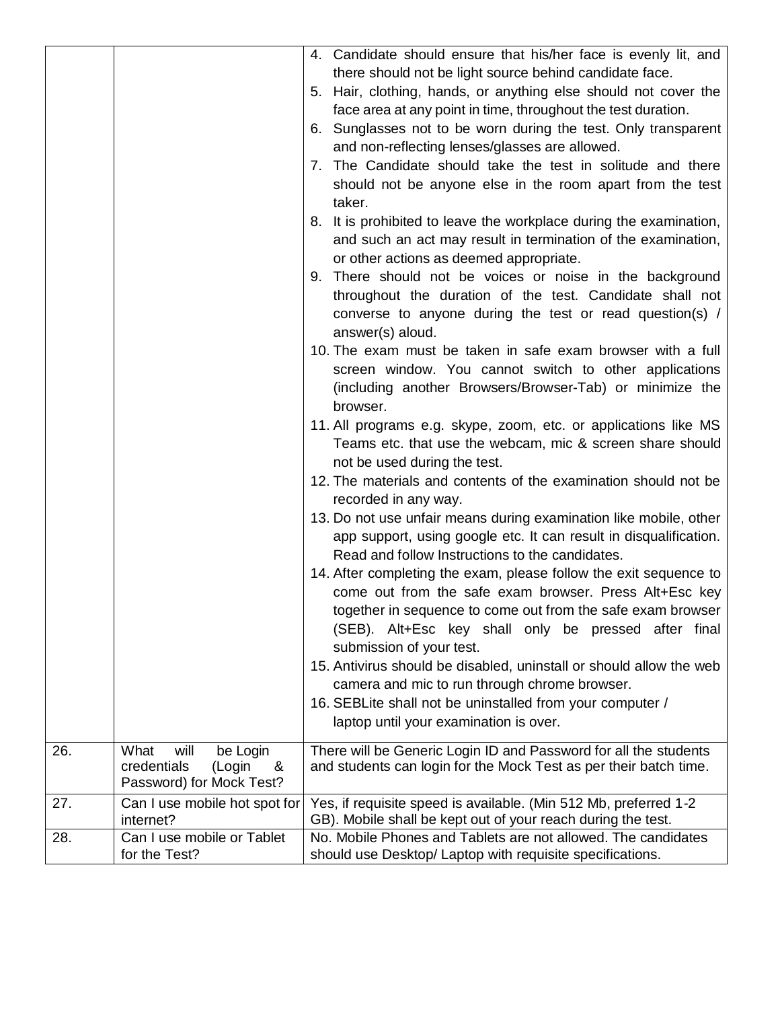|     |                               | 4. Candidate should ensure that his/her face is evenly lit, and      |
|-----|-------------------------------|----------------------------------------------------------------------|
|     |                               | there should not be light source behind candidate face.              |
|     |                               | 5. Hair, clothing, hands, or anything else should not cover the      |
|     |                               | face area at any point in time, throughout the test duration.        |
|     |                               | 6. Sunglasses not to be worn during the test. Only transparent       |
|     |                               | and non-reflecting lenses/glasses are allowed.                       |
|     |                               | 7. The Candidate should take the test in solitude and there          |
|     |                               | should not be anyone else in the room apart from the test            |
|     |                               | taker.                                                               |
|     |                               | 8. It is prohibited to leave the workplace during the examination,   |
|     |                               | and such an act may result in termination of the examination,        |
|     |                               | or other actions as deemed appropriate.                              |
|     |                               | 9. There should not be voices or noise in the background             |
|     |                               | throughout the duration of the test. Candidate shall not             |
|     |                               | converse to anyone during the test or read question(s) /             |
|     |                               | answer(s) aloud.                                                     |
|     |                               | 10. The exam must be taken in safe exam browser with a full          |
|     |                               | screen window. You cannot switch to other applications               |
|     |                               | (including another Browsers/Browser-Tab) or minimize the<br>browser. |
|     |                               | 11. All programs e.g. skype, zoom, etc. or applications like MS      |
|     |                               | Teams etc. that use the webcam, mic & screen share should            |
|     |                               | not be used during the test.                                         |
|     |                               | 12. The materials and contents of the examination should not be      |
|     |                               | recorded in any way.                                                 |
|     |                               | 13. Do not use unfair means during examination like mobile, other    |
|     |                               | app support, using google etc. It can result in disqualification.    |
|     |                               | Read and follow Instructions to the candidates.                      |
|     |                               | 14. After completing the exam, please follow the exit sequence to    |
|     |                               | come out from the safe exam browser. Press Alt+Esc key               |
|     |                               | together in sequence to come out from the safe exam browser          |
|     |                               | (SEB). Alt+Esc key shall only be pressed after final                 |
|     |                               | submission of your test.                                             |
|     |                               | 15. Antivirus should be disabled, uninstall or should allow the web  |
|     |                               | camera and mic to run through chrome browser.                        |
|     |                               | 16. SEBLite shall not be uninstalled from your computer /            |
|     |                               | laptop until your examination is over.                               |
| 26. | What<br>will<br>be Login      | There will be Generic Login ID and Password for all the students     |
|     | credentials<br>(Login<br>&    | and students can login for the Mock Test as per their batch time.    |
|     | Password) for Mock Test?      |                                                                      |
| 27. | Can I use mobile hot spot for | Yes, if requisite speed is available. (Min 512 Mb, preferred 1-2     |
|     | internet?                     | GB). Mobile shall be kept out of your reach during the test.         |
| 28. | Can I use mobile or Tablet    | No. Mobile Phones and Tablets are not allowed. The candidates        |
|     | for the Test?                 | should use Desktop/ Laptop with requisite specifications.            |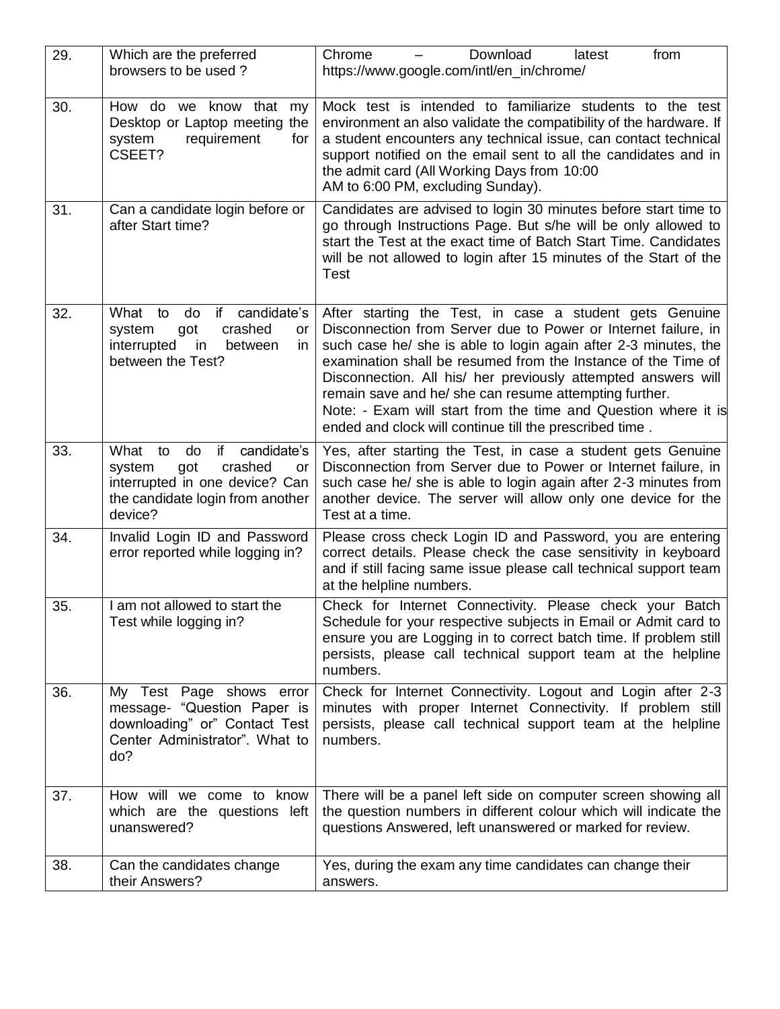| 29. | Which are the preferred<br>browsers to be used?                                                                                                          | Chrome<br>Download<br>from<br>latest<br>https://www.google.com/intl/en_in/chrome/                                                                                                                                                                                                                                                                                                                                                                                                                                     |
|-----|----------------------------------------------------------------------------------------------------------------------------------------------------------|-----------------------------------------------------------------------------------------------------------------------------------------------------------------------------------------------------------------------------------------------------------------------------------------------------------------------------------------------------------------------------------------------------------------------------------------------------------------------------------------------------------------------|
| 30. | How do we know that my<br>Desktop or Laptop meeting the<br>requirement<br>system<br>for<br>CSEET?                                                        | Mock test is intended to familiarize students to the test<br>environment an also validate the compatibility of the hardware. If<br>a student encounters any technical issue, can contact technical<br>support notified on the email sent to all the candidates and in<br>the admit card (All Working Days from 10:00<br>AM to 6:00 PM, excluding Sunday).                                                                                                                                                             |
| 31. | Can a candidate login before or<br>after Start time?                                                                                                     | Candidates are advised to login 30 minutes before start time to<br>go through Instructions Page. But s/he will be only allowed to<br>start the Test at the exact time of Batch Start Time. Candidates<br>will be not allowed to login after 15 minutes of the Start of the<br>Test                                                                                                                                                                                                                                    |
| 32. | do<br>candidate's<br>What<br>to<br>if<br>crashed<br>system<br>got<br>or<br>interrupted<br>between<br>in.<br>in<br>between the Test?                      | After starting the Test, in case a student gets Genuine<br>Disconnection from Server due to Power or Internet failure, in<br>such case he/ she is able to login again after 2-3 minutes, the<br>examination shall be resumed from the Instance of the Time of<br>Disconnection. All his/ her previously attempted answers will<br>remain save and he/ she can resume attempting further.<br>Note: - Exam will start from the time and Question where it is<br>ended and clock will continue till the prescribed time. |
| 33. | What<br>do<br>if<br>candidate's<br>to<br>crashed<br>system<br>got<br>or<br>interrupted in one device? Can<br>the candidate login from another<br>device? | Yes, after starting the Test, in case a student gets Genuine<br>Disconnection from Server due to Power or Internet failure, in<br>such case he/ she is able to login again after 2-3 minutes from<br>another device. The server will allow only one device for the<br>Test at a time.                                                                                                                                                                                                                                 |
| 34. | Invalid Login ID and Password<br>error reported while logging in?                                                                                        | Please cross check Login ID and Password, you are entering<br>correct details. Please check the case sensitivity in keyboard<br>and if still facing same issue please call technical support team<br>at the helpline numbers.                                                                                                                                                                                                                                                                                         |
| 35. | I am not allowed to start the<br>Test while logging in?                                                                                                  | Check for Internet Connectivity. Please check your Batch<br>Schedule for your respective subjects in Email or Admit card to<br>ensure you are Logging in to correct batch time. If problem still<br>persists, please call technical support team at the helpline<br>numbers.                                                                                                                                                                                                                                          |
| 36. | My Test Page shows error<br>message- "Question Paper is<br>downloading" or" Contact Test<br>Center Administrator". What to<br>do?                        | Check for Internet Connectivity. Logout and Login after 2-3<br>minutes with proper Internet Connectivity. If problem still<br>persists, please call technical support team at the helpline<br>numbers.                                                                                                                                                                                                                                                                                                                |
| 37. | How will we come to know<br>which are the questions left<br>unanswered?                                                                                  | There will be a panel left side on computer screen showing all<br>the question numbers in different colour which will indicate the<br>questions Answered, left unanswered or marked for review.                                                                                                                                                                                                                                                                                                                       |
| 38. | Can the candidates change<br>their Answers?                                                                                                              | Yes, during the exam any time candidates can change their<br>answers.                                                                                                                                                                                                                                                                                                                                                                                                                                                 |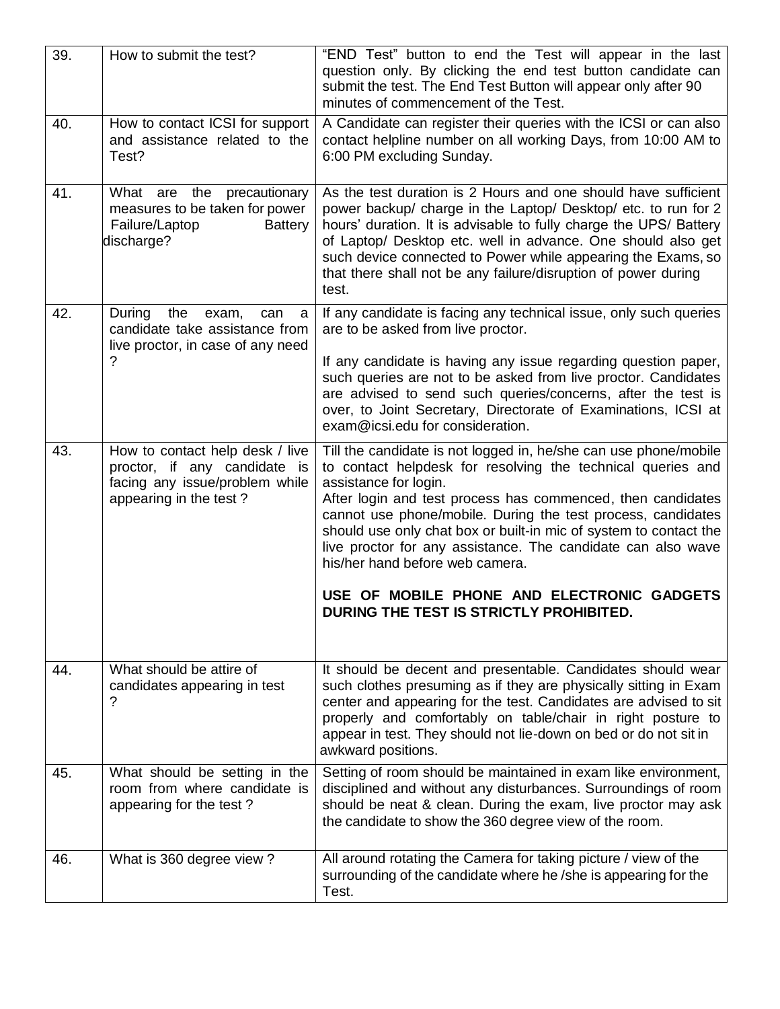| 39. | How to submit the test?                                                                                                     | "END Test" button to end the Test will appear in the last<br>question only. By clicking the end test button candidate can<br>submit the test. The End Test Button will appear only after 90<br>minutes of commencement of the Test.                                                                                                                                                                                                                             |
|-----|-----------------------------------------------------------------------------------------------------------------------------|-----------------------------------------------------------------------------------------------------------------------------------------------------------------------------------------------------------------------------------------------------------------------------------------------------------------------------------------------------------------------------------------------------------------------------------------------------------------|
| 40. | How to contact ICSI for support<br>and assistance related to the<br>Test?                                                   | A Candidate can register their queries with the ICSI or can also<br>contact helpline number on all working Days, from 10:00 AM to<br>6:00 PM excluding Sunday.                                                                                                                                                                                                                                                                                                  |
| 41. | precautionary<br>What are<br>the<br>measures to be taken for power<br>Failure/Laptop<br><b>Battery</b><br>discharge?        | As the test duration is 2 Hours and one should have sufficient<br>power backup/ charge in the Laptop/ Desktop/ etc. to run for 2<br>hours' duration. It is advisable to fully charge the UPS/ Battery<br>of Laptop/ Desktop etc. well in advance. One should also get<br>such device connected to Power while appearing the Exams, so<br>that there shall not be any failure/disruption of power during<br>test.                                                |
| 42. | During<br>the<br>exam,<br>can<br>a<br>candidate take assistance from<br>live proctor, in case of any need                   | If any candidate is facing any technical issue, only such queries<br>are to be asked from live proctor.                                                                                                                                                                                                                                                                                                                                                         |
|     | ?                                                                                                                           | If any candidate is having any issue regarding question paper,<br>such queries are not to be asked from live proctor. Candidates<br>are advised to send such queries/concerns, after the test is<br>over, to Joint Secretary, Directorate of Examinations, ICSI at<br>exam@icsi.edu for consideration.                                                                                                                                                          |
| 43. | How to contact help desk / live<br>proctor, if any candidate is<br>facing any issue/problem while<br>appearing in the test? | Till the candidate is not logged in, he/she can use phone/mobile<br>to contact helpdesk for resolving the technical queries and<br>assistance for login.<br>After login and test process has commenced, then candidates<br>cannot use phone/mobile. During the test process, candidates<br>should use only chat box or built-in mic of system to contact the<br>live proctor for any assistance. The candidate can also wave<br>his/her hand before web camera. |
|     |                                                                                                                             | USE OF MOBILE PHONE AND ELECTRONIC GADGETS<br>DURING THE TEST IS STRICTLY PROHIBITED.                                                                                                                                                                                                                                                                                                                                                                           |
| 44. | What should be attire of<br>candidates appearing in test<br>?                                                               | It should be decent and presentable. Candidates should wear<br>such clothes presuming as if they are physically sitting in Exam<br>center and appearing for the test. Candidates are advised to sit<br>properly and comfortably on table/chair in right posture to<br>appear in test. They should not lie-down on bed or do not sit in<br>awkward positions.                                                                                                    |
| 45. | What should be setting in the<br>room from where candidate is<br>appearing for the test?                                    | Setting of room should be maintained in exam like environment,<br>disciplined and without any disturbances. Surroundings of room<br>should be neat & clean. During the exam, live proctor may ask<br>the candidate to show the 360 degree view of the room.                                                                                                                                                                                                     |
| 46. | What is 360 degree view?                                                                                                    | All around rotating the Camera for taking picture / view of the<br>surrounding of the candidate where he /she is appearing for the<br>Test.                                                                                                                                                                                                                                                                                                                     |